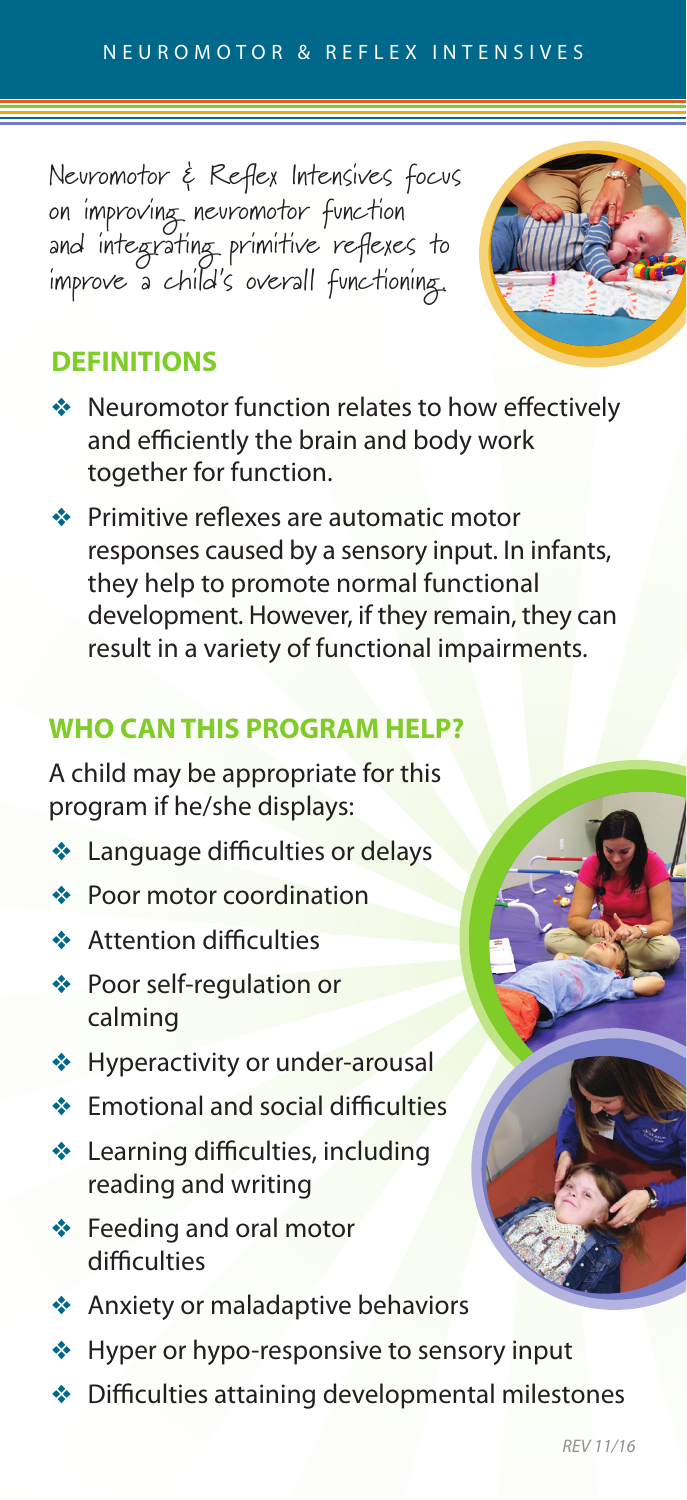Neuromotor & Reflex Intensives focus on improving neuromotor function and integrating primitive reflexes to improve a child's overall functioning.



- ◆ Neuromotor function relates to how effectively and efficiently the brain and body work together for function.
- $\triangleq$  Primitive reflexes are automatic motor responses caused by a sensory input. In infants, they help to promote normal functional development. However, if they remain, they can result in a variety of functional impairments.

## **WHO CAN THIS PROGRAM HELP?**

A child may be appropriate for this program if he/she displays:

- $\triangleleft$  Language difficulties or delays
- $\triangle$  Poor motor coordination
- **\*** Attention difficulties
- v Poor self-regulation or calming
- ◆ Hyperactivity or under-arousal
- $\triangle$  Emotional and social difficulties
- v Learning difficulties, including reading and writing
- ◆ Feeding and oral motor difficulties
- ◆ Anxiety or maladaptive behaviors
- ◆ Hyper or hypo-responsive to sensory input
- $\triangleq$  Difficulties attaining developmental milestones